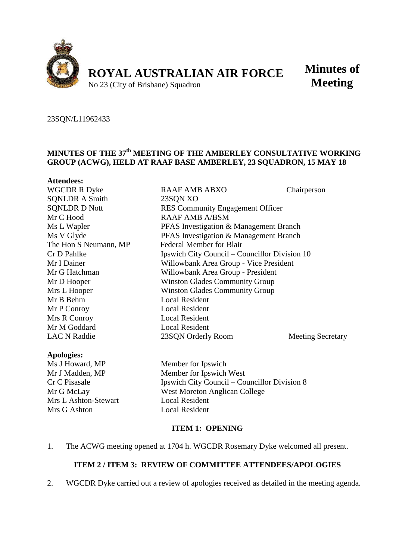

**Minutes of Meeting**

#### 23SQN/L11962433

**Attendees:**

# **MINUTES OF THE 37th MEETING OF THE AMBERLEY CONSULTATIVE WORKING GROUP (ACWG), HELD AT RAAF BASE AMBERLEY, 23 SQUADRON, 15 MAY 18**

| Auchutts.             |                                               |                          |  |
|-----------------------|-----------------------------------------------|--------------------------|--|
| <b>WGCDR R Dyke</b>   | RAAF AMB ABXO                                 | Chairperson              |  |
| <b>SQNLDR A Smith</b> | 23SQN XO                                      |                          |  |
| <b>SONLDR D Nott</b>  | <b>RES Community Engagement Officer</b>       |                          |  |
| Mr C Hood             | RAAF AMB A/BSM                                |                          |  |
| Ms L Wapler           | PFAS Investigation & Management Branch        |                          |  |
| Ms V Glyde            | PFAS Investigation & Management Branch        |                          |  |
| The Hon S Neumann, MP | Federal Member for Blair                      |                          |  |
| Cr D Pahlke           | Ipswich City Council – Councillor Division 10 |                          |  |
| Mr I Dainer           | Willowbank Area Group - Vice President        |                          |  |
| Mr G Hatchman         | Willowbank Area Group - President             |                          |  |
| Mr D Hooper           | <b>Winston Glades Community Group</b>         |                          |  |
| Mrs L Hooper          | <b>Winston Glades Community Group</b>         |                          |  |
| Mr B Behm             | <b>Local Resident</b>                         |                          |  |
| Mr P Conroy           | <b>Local Resident</b>                         |                          |  |
| Mrs R Conroy          | <b>Local Resident</b>                         |                          |  |
| Mr M Goddard          | <b>Local Resident</b>                         |                          |  |
| <b>LAC N Raddie</b>   | 23SQN Orderly Room                            | <b>Meeting Secretary</b> |  |
|                       |                                               |                          |  |

#### **Apologies:**

Ms J Howard, MP Member for Ipswich Mrs L Ashton-Stewart Mrs G Ashton Local Resident

Mr J Madden, MP Member for Ipswich West Cr C Pisasale Ipswich City Council – Councillor Division 8 Mr G McLay West Moreton Anglican College<br>Mrs L Ashton-Stewart Local Resident

#### **ITEM 1: OPENING**

1. The ACWG meeting opened at 1704 h. WGCDR Rosemary Dyke welcomed all present.

### **ITEM 2 / ITEM 3: REVIEW OF COMMITTEE ATTENDEES/APOLOGIES**

2. WGCDR Dyke carried out a review of apologies received as detailed in the meeting agenda.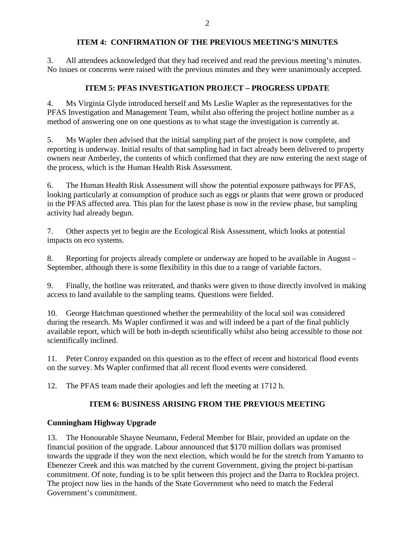## **ITEM 4: CONFIRMATION OF THE PREVIOUS MEETING'S MINUTES**

3. All attendees acknowledged that they had received and read the previous meeting's minutes. No issues or concerns were raised with the previous minutes and they were unanimously accepted.

# **ITEM 5: PFAS INVESTIGATION PROJECT – PROGRESS UPDATE**

4. Ms Virginia Glyde introduced herself and Ms Leslie Wapler as the representatives for the PFAS Investigation and Management Team, whilst also offering the project hotline number as a method of answering one on one questions as to what stage the investigation is currently at.

5. Ms Wapler then advised that the initial sampling part of the project is now complete, and reporting is underway. Initial results of that sampling had in fact already been delivered to property owners near Amberley, the contents of which confirmed that they are now entering the next stage of the process, which is the Human Health Risk Assessment.

6. The Human Health Risk Assessment will show the potential exposure pathways for PFAS, looking particularly at consumption of produce such as eggs or plants that were grown or produced in the PFAS affected area. This plan for the latest phase is now in the review phase, but sampling activity had already begun.

7. Other aspects yet to begin are the Ecological Risk Assessment, which looks at potential impacts on eco systems.

8. Reporting for projects already complete or underway are hoped to be available in August – September, although there is some flexibility in this due to a range of variable factors.

9. Finally, the hotline was reiterated, and thanks were given to those directly involved in making access to land available to the sampling teams. Questions were fielded.

10. George Hatchman questioned whether the permeability of the local soil was considered during the research. Ms Wapler confirmed it was and will indeed be a part of the final publicly available report, which will be both in-depth scientifically whilst also being accessible to those not scientifically inclined.

11. Peter Conroy expanded on this question as to the effect of recent and historical flood events on the survey. Ms Wapler confirmed that all recent flood events were considered.

12. The PFAS team made their apologies and left the meeting at 1712 h.

# **ITEM 6: BUSINESS ARISING FROM THE PREVIOUS MEETING**

## **Cunningham Highway Upgrade**

13. The Honourable Shayne Neumann, Federal Member for Blair, provided an update on the financial position of the upgrade. Labour announced that \$170 million dollars was promised towards the upgrade if they won the next election, which would be for the stretch from Yamanto to Ebenezer Creek and this was matched by the current Government, giving the project bi-partisan commitment. Of note, funding is to be split between this project and the Darra to Rocklea project. The project now lies in the hands of the State Government who need to match the Federal Government's commitment.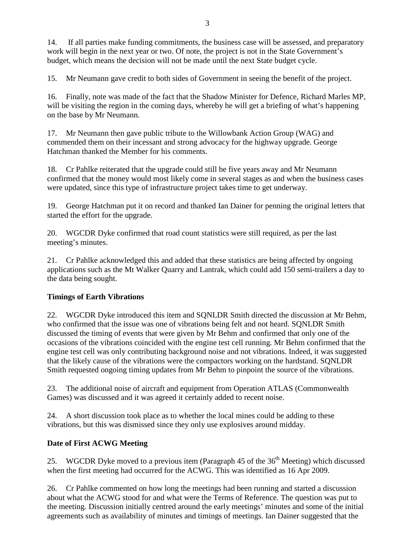14. If all parties make funding commitments, the business case will be assessed, and preparatory work will begin in the next year or two. Of note, the project is not in the State Government's budget, which means the decision will not be made until the next State budget cycle.

15. Mr Neumann gave credit to both sides of Government in seeing the benefit of the project.

16. Finally, note was made of the fact that the Shadow Minister for Defence, Richard Marles MP, will be visiting the region in the coming days, whereby he will get a briefing of what's happening on the base by Mr Neumann.

17. Mr Neumann then gave public tribute to the Willowbank Action Group (WAG) and commended them on their incessant and strong advocacy for the highway upgrade. George Hatchman thanked the Member for his comments.

18. Cr Pahlke reiterated that the upgrade could still be five years away and Mr Neumann confirmed that the money would most likely come in several stages as and when the business cases were updated, since this type of infrastructure project takes time to get underway.

19. George Hatchman put it on record and thanked Ian Dainer for penning the original letters that started the effort for the upgrade.

20. WGCDR Dyke confirmed that road count statistics were still required, as per the last meeting's minutes.

21. Cr Pahlke acknowledged this and added that these statistics are being affected by ongoing applications such as the Mt Walker Quarry and Lantrak, which could add 150 semi-trailers a day to the data being sought.

## **Timings of Earth Vibrations**

22. WGCDR Dyke introduced this item and SQNLDR Smith directed the discussion at Mr Behm, who confirmed that the issue was one of vibrations being felt and not heard. SQNLDR Smith discussed the timing of events that were given by Mr Behm and confirmed that only one of the occasions of the vibrations coincided with the engine test cell running. Mr Behm confirmed that the engine test cell was only contributing background noise and not vibrations. Indeed, it was suggested that the likely cause of the vibrations were the compactors working on the hardstand. SQNLDR Smith requested ongoing timing updates from Mr Behm to pinpoint the source of the vibrations.

23. The additional noise of aircraft and equipment from Operation ATLAS (Commonwealth Games) was discussed and it was agreed it certainly added to recent noise.

24. A short discussion took place as to whether the local mines could be adding to these vibrations, but this was dismissed since they only use explosives around midday.

#### **Date of First ACWG Meeting**

25. WGCDR Dyke moved to a previous item (Paragraph 45 of the  $36<sup>th</sup>$  Meeting) which discussed when the first meeting had occurred for the ACWG. This was identified as 16 Apr 2009.

26. Cr Pahlke commented on how long the meetings had been running and started a discussion about what the ACWG stood for and what were the Terms of Reference. The question was put to the meeting. Discussion initially centred around the early meetings' minutes and some of the initial agreements such as availability of minutes and timings of meetings. Ian Dainer suggested that the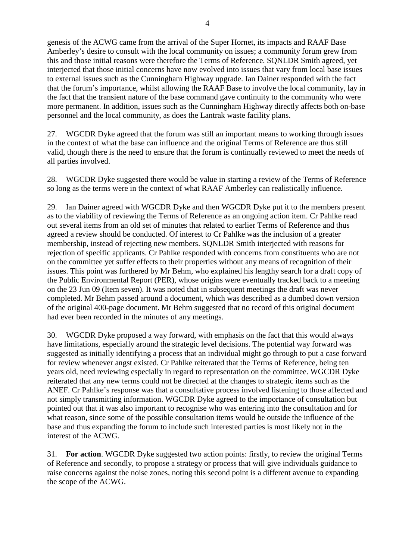genesis of the ACWG came from the arrival of the Super Hornet, its impacts and RAAF Base Amberley's desire to consult with the local community on issues; a community forum grew from this and those initial reasons were therefore the Terms of Reference. SQNLDR Smith agreed, yet interjected that those initial concerns have now evolved into issues that vary from local base issues to external issues such as the Cunningham Highway upgrade. Ian Dainer responded with the fact that the forum's importance, whilst allowing the RAAF Base to involve the local community, lay in the fact that the transient nature of the base command gave continuity to the community who were more permanent. In addition, issues such as the Cunningham Highway directly affects both on-base personnel and the local community, as does the Lantrak waste facility plans.

27. WGCDR Dyke agreed that the forum was still an important means to working through issues in the context of what the base can influence and the original Terms of Reference are thus still valid, though there is the need to ensure that the forum is continually reviewed to meet the needs of all parties involved.

28. WGCDR Dyke suggested there would be value in starting a review of the Terms of Reference so long as the terms were in the context of what RAAF Amberley can realistically influence.

29. Ian Dainer agreed with WGCDR Dyke and then WGCDR Dyke put it to the members present as to the viability of reviewing the Terms of Reference as an ongoing action item. Cr Pahlke read out several items from an old set of minutes that related to earlier Terms of Reference and thus agreed a review should be conducted. Of interest to Cr Pahlke was the inclusion of a greater membership, instead of rejecting new members. SQNLDR Smith interjected with reasons for rejection of specific applicants. Cr Pahlke responded with concerns from constituents who are not on the committee yet suffer effects to their properties without any means of recognition of their issues. This point was furthered by Mr Behm, who explained his lengthy search for a draft copy of the Public Environmental Report (PER), whose origins were eventually tracked back to a meeting on the 23 Jun 09 (Item seven). It was noted that in subsequent meetings the draft was never completed. Mr Behm passed around a document, which was described as a dumbed down version of the original 400-page document. Mr Behm suggested that no record of this original document had ever been recorded in the minutes of any meetings.

30. WGCDR Dyke proposed a way forward, with emphasis on the fact that this would always have limitations, especially around the strategic level decisions. The potential way forward was suggested as initially identifying a process that an individual might go through to put a case forward for review whenever angst existed. Cr Pahlke reiterated that the Terms of Reference, being ten years old, need reviewing especially in regard to representation on the committee. WGCDR Dyke reiterated that any new terms could not be directed at the changes to strategic items such as the ANEF. Cr Pahlke's response was that a consultative process involved listening to those affected and not simply transmitting information. WGCDR Dyke agreed to the importance of consultation but pointed out that it was also important to recognise who was entering into the consultation and for what reason, since some of the possible consultation items would be outside the influence of the base and thus expanding the forum to include such interested parties is most likely not in the interest of the ACWG.

31. **For action**. WGCDR Dyke suggested two action points: firstly, to review the original Terms of Reference and secondly, to propose a strategy or process that will give individuals guidance to raise concerns against the noise zones, noting this second point is a different avenue to expanding the scope of the ACWG.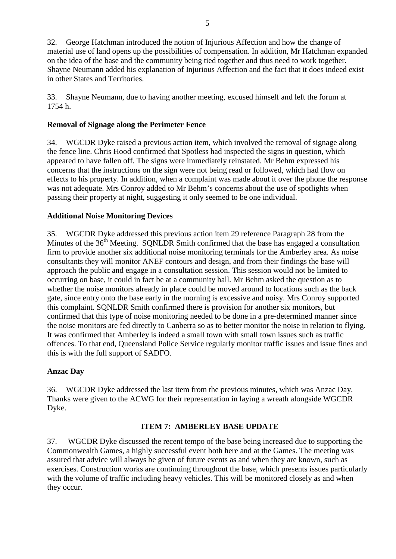32. George Hatchman introduced the notion of Injurious Affection and how the change of material use of land opens up the possibilities of compensation. In addition, Mr Hatchman expanded on the idea of the base and the community being tied together and thus need to work together. Shayne Neumann added his explanation of Injurious Affection and the fact that it does indeed exist in other States and Territories.

33. Shayne Neumann, due to having another meeting, excused himself and left the forum at 1754 h.

## **Removal of Signage along the Perimeter Fence**

34. WGCDR Dyke raised a previous action item, which involved the removal of signage along the fence line. Chris Hood confirmed that Spotless had inspected the signs in question, which appeared to have fallen off. The signs were immediately reinstated. Mr Behm expressed his concerns that the instructions on the sign were not being read or followed, which had flow on effects to his property. In addition, when a complaint was made about it over the phone the response was not adequate. Mrs Conroy added to Mr Behm's concerns about the use of spotlights when passing their property at night, suggesting it only seemed to be one individual.

### **Additional Noise Monitoring Devices**

35. WGCDR Dyke addressed this previous action item 29 reference Paragraph 28 from the Minutes of the  $36<sup>th</sup>$  Meeting. SONLDR Smith confirmed that the base has engaged a consultation firm to provide another six additional noise monitoring terminals for the Amberley area. As noise consultants they will monitor ANEF contours and design, and from their findings the base will approach the public and engage in a consultation session. This session would not be limited to occurring on base, it could in fact be at a community hall. Mr Behm asked the question as to whether the noise monitors already in place could be moved around to locations such as the back gate, since entry onto the base early in the morning is excessive and noisy. Mrs Conroy supported this complaint. SQNLDR Smith confirmed there is provision for another six monitors, but confirmed that this type of noise monitoring needed to be done in a pre-determined manner since the noise monitors are fed directly to Canberra so as to better monitor the noise in relation to flying. It was confirmed that Amberley is indeed a small town with small town issues such as traffic offences. To that end, Queensland Police Service regularly monitor traffic issues and issue fines and this is with the full support of SADFO.

## **Anzac Day**

36. WGCDR Dyke addressed the last item from the previous minutes, which was Anzac Day. Thanks were given to the ACWG for their representation in laying a wreath alongside WGCDR Dyke.

#### **ITEM 7: AMBERLEY BASE UPDATE**

37. WGCDR Dyke discussed the recent tempo of the base being increased due to supporting the Commonwealth Games, a highly successful event both here and at the Games. The meeting was assured that advice will always be given of future events as and when they are known, such as exercises. Construction works are continuing throughout the base, which presents issues particularly with the volume of traffic including heavy vehicles. This will be monitored closely as and when they occur.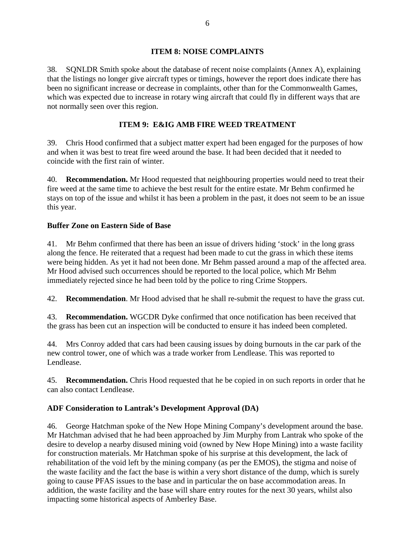### **ITEM 8: NOISE COMPLAINTS**

38. SQNLDR Smith spoke about the database of recent noise complaints (Annex A), explaining that the listings no longer give aircraft types or timings, however the report does indicate there has been no significant increase or decrease in complaints, other than for the Commonwealth Games, which was expected due to increase in rotary wing aircraft that could fly in different ways that are not normally seen over this region.

## **ITEM 9: E&IG AMB FIRE WEED TREATMENT**

39. Chris Hood confirmed that a subject matter expert had been engaged for the purposes of how and when it was best to treat fire weed around the base. It had been decided that it needed to coincide with the first rain of winter.

40. **Recommendation.** Mr Hood requested that neighbouring properties would need to treat their fire weed at the same time to achieve the best result for the entire estate. Mr Behm confirmed he stays on top of the issue and whilst it has been a problem in the past, it does not seem to be an issue this year.

## **Buffer Zone on Eastern Side of Base**

41. Mr Behm confirmed that there has been an issue of drivers hiding 'stock' in the long grass along the fence. He reiterated that a request had been made to cut the grass in which these items were being hidden. As yet it had not been done. Mr Behm passed around a map of the affected area. Mr Hood advised such occurrences should be reported to the local police, which Mr Behm immediately rejected since he had been told by the police to ring Crime Stoppers.

42. **Recommendation**. Mr Hood advised that he shall re-submit the request to have the grass cut.

43. **Recommendation.** WGCDR Dyke confirmed that once notification has been received that the grass has been cut an inspection will be conducted to ensure it has indeed been completed.

44. Mrs Conroy added that cars had been causing issues by doing burnouts in the car park of the new control tower, one of which was a trade worker from Lendlease. This was reported to Lendlease.

45. **Recommendation.** Chris Hood requested that he be copied in on such reports in order that he can also contact Lendlease.

# **ADF Consideration to Lantrak's Development Approval (DA)**

46. George Hatchman spoke of the New Hope Mining Company's development around the base. Mr Hatchman advised that he had been approached by Jim Murphy from Lantrak who spoke of the desire to develop a nearby disused mining void (owned by New Hope Mining) into a waste facility for construction materials. Mr Hatchman spoke of his surprise at this development, the lack of rehabilitation of the void left by the mining company (as per the EMOS), the stigma and noise of the waste facility and the fact the base is within a very short distance of the dump, which is surely going to cause PFAS issues to the base and in particular the on base accommodation areas. In addition, the waste facility and the base will share entry routes for the next 30 years, whilst also impacting some historical aspects of Amberley Base.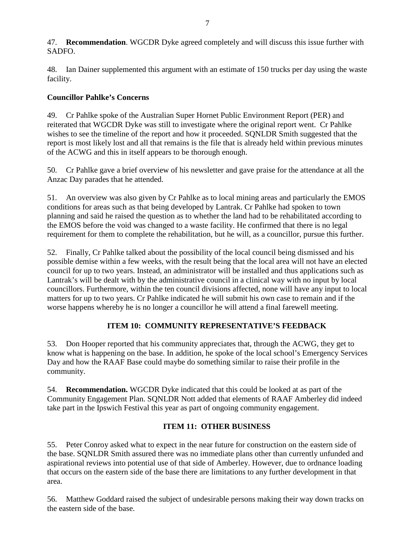47. **Recommendation**. WGCDR Dyke agreed completely and will discuss this issue further with SADFO.

48. Ian Dainer supplemented this argument with an estimate of 150 trucks per day using the waste facility.

## **Councillor Pahlke's Concerns**

49. Cr Pahlke spoke of the Australian Super Hornet Public Environment Report (PER) and reiterated that WGCDR Dyke was still to investigate where the original report went. Cr Pahlke wishes to see the timeline of the report and how it proceeded. SQNLDR Smith suggested that the report is most likely lost and all that remains is the file that is already held within previous minutes of the ACWG and this in itself appears to be thorough enough.

50. Cr Pahlke gave a brief overview of his newsletter and gave praise for the attendance at all the Anzac Day parades that he attended.

51. An overview was also given by Cr Pahlke as to local mining areas and particularly the EMOS conditions for areas such as that being developed by Lantrak. Cr Pahlke had spoken to town planning and said he raised the question as to whether the land had to be rehabilitated according to the EMOS before the void was changed to a waste facility. He confirmed that there is no legal requirement for them to complete the rehabilitation, but he will, as a councillor, pursue this further.

52. Finally, Cr Pahlke talked about the possibility of the local council being dismissed and his possible demise within a few weeks, with the result being that the local area will not have an elected council for up to two years. Instead, an administrator will be installed and thus applications such as Lantrak's will be dealt with by the administrative council in a clinical way with no input by local councillors. Furthermore, within the ten council divisions affected, none will have any input to local matters for up to two years. Cr Pahlke indicated he will submit his own case to remain and if the worse happens whereby he is no longer a councillor he will attend a final farewell meeting.

# **ITEM 10: COMMUNITY REPRESENTATIVE'S FEEDBACK**

53. Don Hooper reported that his community appreciates that, through the ACWG, they get to know what is happening on the base. In addition, he spoke of the local school's Emergency Services Day and how the RAAF Base could maybe do something similar to raise their profile in the community.

54. **Recommendation.** WGCDR Dyke indicated that this could be looked at as part of the Community Engagement Plan. SQNLDR Nott added that elements of RAAF Amberley did indeed take part in the Ipswich Festival this year as part of ongoing community engagement.

# **ITEM 11: OTHER BUSINESS**

55. Peter Conroy asked what to expect in the near future for construction on the eastern side of the base. SQNLDR Smith assured there was no immediate plans other than currently unfunded and aspirational reviews into potential use of that side of Amberley. However, due to ordnance loading that occurs on the eastern side of the base there are limitations to any further development in that area.

56. Matthew Goddard raised the subject of undesirable persons making their way down tracks on the eastern side of the base.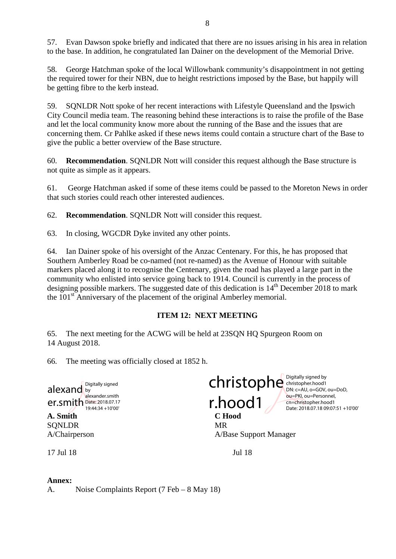57. Evan Dawson spoke briefly and indicated that there are no issues arising in his area in relation to the base. In addition, he congratulated Ian Dainer on the development of the Memorial Drive.

58. George Hatchman spoke of the local Willowbank community's disappointment in not getting the required tower for their NBN, due to height restrictions imposed by the Base, but happily will be getting fibre to the kerb instead.

59. SQNLDR Nott spoke of her recent interactions with Lifestyle Queensland and the Ipswich City Council media team. The reasoning behind these interactions is to raise the profile of the Base and let the local community know more about the running of the Base and the issues that are concerning them. Cr Pahlke asked if these news items could contain a structure chart of the Base to give the public a better overview of the Base structure.

60. **Recommendation**. SQNLDR Nott will consider this request although the Base structure is not quite as simple as it appears.

61. George Hatchman asked if some of these items could be passed to the Moreton News in order that such stories could reach other interested audiences.

62. **Recommendation**. SQNLDR Nott will consider this request.

63. In closing, WGCDR Dyke invited any other points.

64. Ian Dainer spoke of his oversight of the Anzac Centenary. For this, he has proposed that Southern Amberley Road be co-named (not re-named) as the Avenue of Honour with suitable markers placed along it to recognise the Centenary, given the road has played a large part in the community who enlisted into service going back to 1914. Council is currently in the process of designing possible markers. The suggested date of this dedication is  $14<sup>th</sup>$  December 2018 to mark the 101<sup>st</sup> Anniversary of the placement of the original Amberley memorial.

## **ITEM 12: NEXT MEETING**

65. The next meeting for the ACWG will be held at 23SQN HQ Spurgeon Room on 14 August 2018.

66. The meeting was officially closed at 1852 h.

**A. Smith C Hood** SONLDR MR alexand  $er.$ smith Date: 2018.07.17 Digitally signed alexander.smith 19:44:34 +10'00'

Christophe<sup>Digitally signed by</sup> r.hood1

christopher.hood1 DN: c=AU, o=GOV, ou=DoD, ou=PKI, ou=Personnel, cn=christopher.hood1 Date: 2018.07.18 09:07:51 +10'00'

A/Chairperson A/Base Support Manager

17 Jul 18 Jul 18

#### **Annex:**

A. Noise Complaints Report (7 Feb – 8 May 18)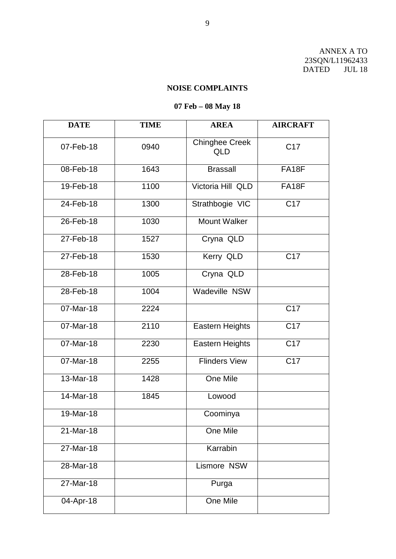ANNEX A TO 23SQN/L11962433 DATED JUL 18

# **NOISE COMPLAINTS**

# **07 Feb – 08 May 18**

| <b>DATE</b> | <b>TIME</b> | <b>AREA</b>                  | <b>AIRCRAFT</b>  |
|-------------|-------------|------------------------------|------------------|
|             |             |                              |                  |
| 07-Feb-18   | 0940        | Chinghee Creek<br><b>QLD</b> | C <sub>17</sub>  |
| 08-Feb-18   | 1643        | <b>Brassall</b>              | FA18F            |
| 19-Feb-18   | 1100        | Victoria Hill QLD            | <b>FA18F</b>     |
| 24-Feb-18   | 1300        | Strathbogie VIC              | C17              |
| 26-Feb-18   | 1030        | <b>Mount Walker</b>          |                  |
| 27-Feb-18   | 1527        | Cryna QLD                    |                  |
| 27-Feb-18   | 1530        | Kerry QLD                    | C17              |
| 28-Feb-18   | 1005        | Cryna QLD                    |                  |
| 28-Feb-18   | 1004        | Wadeville NSW                |                  |
| 07-Mar-18   | 2224        |                              | $\overline{C17}$ |
| 07-Mar-18   | 2110        | Eastern Heights              | C17              |
| 07-Mar-18   | 2230        | Eastern Heights              | $\overline{C17}$ |
| 07-Mar-18   | 2255        | <b>Flinders View</b>         | C17              |
| 13-Mar-18   | 1428        | One Mile                     |                  |
| 14-Mar-18   | 1845        | Lowood                       |                  |
| 19-Mar-18   |             | Coominya                     |                  |
| 21-Mar-18   |             | One Mile                     |                  |
| 27-Mar-18   |             | Karrabin                     |                  |
| 28-Mar-18   |             | Lismore NSW                  |                  |
| 27-Mar-18   |             | Purga                        |                  |
| 04-Apr-18   |             | One Mile                     |                  |